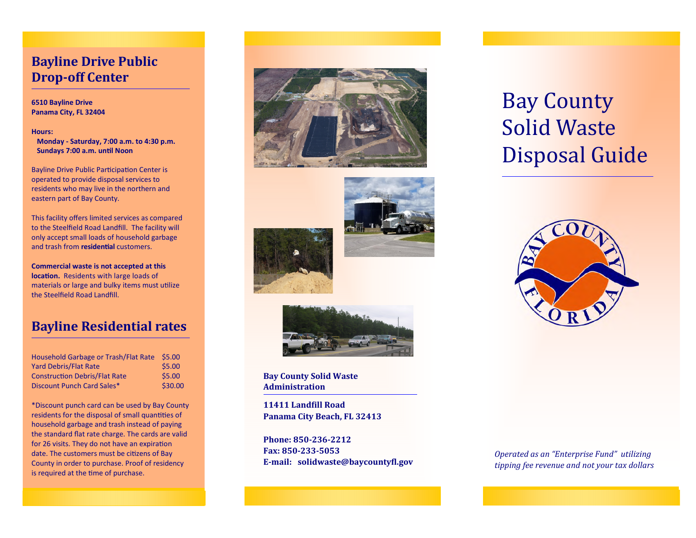## **Bayline Drive Public Drop-off Center**

#### **6510 Bayline Drive Panama City, FL 32404**

#### **Hours:**

 **Monday - Saturday, 7:00 a.m. to 4:30 p.m. Sundays 7:00 a.m. until Noon** 

Bayline Drive Public Participation Center is operated to provide disposal services to residents who may live in the northern and eastern part of Bay County.

This facility offers limited services as compared to the Steelfield Road Landfill. The facility will only accept small loads of household garbage and trash from **residential** customers.

**Commercial waste is not accepted at this**  location. Residents with large loads of materials or large and bulky items must utilize the Steelfield Road Landfill.

## **Bayline Residential rates**

| Household Garbage or Trash/Flat Rate \$5.00 |         |
|---------------------------------------------|---------|
| <b>Yard Debris/Flat Rate</b>                | \$5.00  |
| <b>Construction Debris/Flat Rate</b>        | \$5.00  |
| Discount Punch Card Sales*                  | \$30.00 |

\*Discount punch card can be used by Bay County residents for the disposal of small quantities of household garbage and trash instead of paying the standard flat rate charge. The cards are valid for 26 visits. They do not have an expiration date. The customers must be citizens of Bay County in order to purchase. Proof of residency is required at the time of purchase.







**Bay County Solid Waste Administration**

**11411 Landill Road Panama City Beach, FL 32413**

**Phone: 850-236-2212 Fax: 850-233-5053 E-mail: solidwaste@baycountyl.gov**

# Bay County Solid Waste Disposal Guide



*Operated as an "Enterprise Fund" utilizing tipping fee revenue and not your tax dollars*